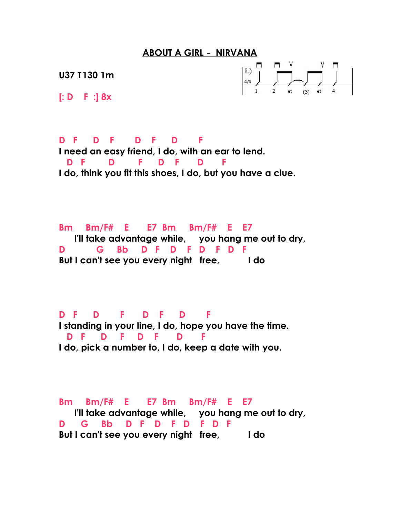## **ABOUT A GIRL - NIRVANA**

**U37 T130 1m**



**[: D F :] 8x**

**D F D F D F D F I need an easy friend, I do, with an ear to lend. D F D F D F D F I do, think you fit this shoes, I do, but you have a clue.**

**Bm Bm/F# E E7 Bm Bm/F# E E7 I'll take advantage while, you hang me out to dry, D G Bb D F D F D F D F But I can't see you every night free, I do**

**D F D F D F D F I standing in your line, I do, hope you have the time. D F D F D F D F I do, pick a number to, I do, keep a date with you.**

**Bm Bm/F# E E7 Bm Bm/F# E E7 I'll take advantage while, you hang me out to dry, D G Bb D F D F D F D F But I can't see you every night free, I do**